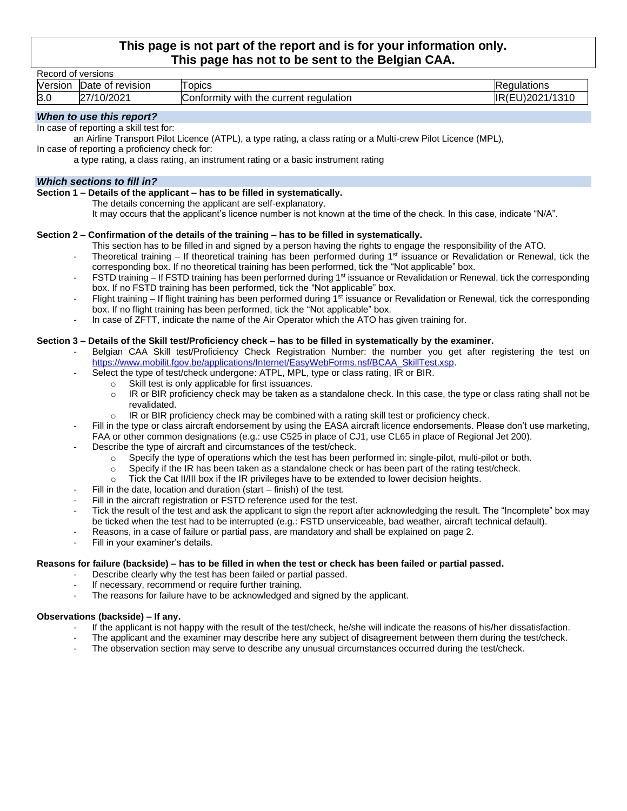## **This page is not part of the report and is for your information only. This page has not to be sent to the Belgian CAA.**

|                                                                                                                |                                               | This page has not to be sent to the beigian onni                                                                                           |                 |  |  |  |
|----------------------------------------------------------------------------------------------------------------|-----------------------------------------------|--------------------------------------------------------------------------------------------------------------------------------------------|-----------------|--|--|--|
| Record of versions                                                                                             |                                               |                                                                                                                                            |                 |  |  |  |
|                                                                                                                | Version Date of revision                      | <b>Topics</b>                                                                                                                              | Regulations     |  |  |  |
| 3.0                                                                                                            | 27/10/2021                                    | Conformity with the current regulation                                                                                                     | IR(EU)2021/1310 |  |  |  |
| When to use this report?                                                                                       |                                               |                                                                                                                                            |                 |  |  |  |
|                                                                                                                | In case of reporting a skill test for:        |                                                                                                                                            |                 |  |  |  |
|                                                                                                                |                                               | an Airline Transport Pilot Licence (ATPL), a type rating, a class rating or a Multi-crew Pilot Licence (MPL),                              |                 |  |  |  |
|                                                                                                                | In case of reporting a proficiency check for: |                                                                                                                                            |                 |  |  |  |
|                                                                                                                |                                               | a type rating, a class rating, an instrument rating or a basic instrument rating                                                           |                 |  |  |  |
|                                                                                                                | <b>Which sections to fill in?</b>             |                                                                                                                                            |                 |  |  |  |
|                                                                                                                |                                               | Section 1 - Details of the applicant - has to be filled in systematically.                                                                 |                 |  |  |  |
|                                                                                                                |                                               | The details concerning the applicant are self-explanatory.                                                                                 |                 |  |  |  |
|                                                                                                                |                                               | It may occurs that the applicant's licence number is not known at the time of the check. In this case, indicate "N/A".                     |                 |  |  |  |
|                                                                                                                |                                               |                                                                                                                                            |                 |  |  |  |
|                                                                                                                |                                               | Section 2 - Confirmation of the details of the training - has to be filled in systematically.                                              |                 |  |  |  |
|                                                                                                                |                                               | This section has to be filled in and signed by a person having the rights to engage the responsibility of the ATO.                         |                 |  |  |  |
| $\overline{\phantom{a}}$                                                                                       |                                               | Theoretical training – If theoretical training has been performed during $1st$ issuance or Revalidation or Renewal, tick the               |                 |  |  |  |
|                                                                                                                |                                               | corresponding box. If no theoretical training has been performed, tick the "Not applicable" box.                                           |                 |  |  |  |
| $\overline{\phantom{a}}$                                                                                       |                                               | FSTD training – If FSTD training has been performed during 1 <sup>st</sup> issuance or Revalidation or Renewal, tick the corresponding     |                 |  |  |  |
|                                                                                                                |                                               | box. If no FSTD training has been performed, tick the "Not applicable" box.                                                                |                 |  |  |  |
| $\overline{\phantom{a}}$                                                                                       |                                               | Flight training - If flight training has been performed during 1 <sup>st</sup> issuance or Revalidation or Renewal, tick the corresponding |                 |  |  |  |
|                                                                                                                |                                               | box. If no flight training has been performed, tick the "Not applicable" box.                                                              |                 |  |  |  |
|                                                                                                                |                                               | In case of ZFTT, indicate the name of the Air Operator which the ATO has given training for.                                               |                 |  |  |  |
|                                                                                                                |                                               |                                                                                                                                            |                 |  |  |  |
| Section 3 - Details of the Skill test/Proficiency check - has to be filled in systematically by the examiner.  |                                               |                                                                                                                                            |                 |  |  |  |
|                                                                                                                |                                               | Belgian CAA Skill test/Proficiency Check Registration Number: the number you get after registering the test on                             |                 |  |  |  |
|                                                                                                                |                                               | https://www.mobilit.fgov.be/applications/Internet/EasyWebForms.nsf/BCAA_SkillTest.xsp.                                                     |                 |  |  |  |
|                                                                                                                |                                               | Select the type of test/check undergone: ATPL, MPL, type or class rating, IR or BIR.                                                       |                 |  |  |  |
|                                                                                                                | $\circ$                                       | Skill test is only applicable for first issuances.                                                                                         |                 |  |  |  |
|                                                                                                                | $\circ$                                       | IR or BIR proficiency check may be taken as a standalone check. In this case, the type or class rating shall not be                        |                 |  |  |  |
|                                                                                                                | revalidated.                                  |                                                                                                                                            |                 |  |  |  |
|                                                                                                                | $\circ$                                       | IR or BIR proficiency check may be combined with a rating skill test or proficiency check.                                                 |                 |  |  |  |
|                                                                                                                |                                               | Fill in the type or class aircraft endorsement by using the EASA aircraft licence endorsements. Please don't use marketing,                |                 |  |  |  |
|                                                                                                                |                                               | FAA or other common designations (e.g.: use C525 in place of CJ1, use CL65 in place of Regional Jet 200).                                  |                 |  |  |  |
|                                                                                                                |                                               | Describe the type of aircraft and circumstances of the test/check.                                                                         |                 |  |  |  |
|                                                                                                                | $\circ$                                       | Specify the type of operations which the test has been performed in: single-pilot, multi-pilot or both.                                    |                 |  |  |  |
|                                                                                                                | $\circ$                                       | Specify if the IR has been taken as a standalone check or has been part of the rating test/check.                                          |                 |  |  |  |
|                                                                                                                | $\circ$                                       | Tick the Cat II/III box if the IR privileges have to be extended to lower decision heights.                                                |                 |  |  |  |
|                                                                                                                |                                               | Fill in the date, location and duration (start $-$ finish) of the test.                                                                    |                 |  |  |  |
| $\overline{a}$                                                                                                 |                                               | Fill in the aircraft registration or FSTD reference used for the test.                                                                     |                 |  |  |  |
|                                                                                                                |                                               | Tick the result of the test and ask the applicant to sign the report after acknowledging the result. The "Incomplete" box may              |                 |  |  |  |
|                                                                                                                |                                               | be ticked when the test had to be interrupted (e.g.: FSTD unserviceable, bad weather, aircraft technical default).                         |                 |  |  |  |
|                                                                                                                |                                               | Reasons, in a case of failure or partial pass, are mandatory and shall be explained on page 2.                                             |                 |  |  |  |
|                                                                                                                | Fill in your examiner's details.              |                                                                                                                                            |                 |  |  |  |
| Reasons for failure (backside) - has to be filled in when the test or check has been failed or partial passed. |                                               |                                                                                                                                            |                 |  |  |  |
|                                                                                                                |                                               | Describe clearly why the test has been failed or partial passed.                                                                           |                 |  |  |  |
|                                                                                                                |                                               | If necessary, recommend or require further training.                                                                                       |                 |  |  |  |

- The reasons for failure have to be acknowledged and signed by the applicant.

## **Observations (backside) – If any.**

- If the applicant is not happy with the result of the test/check, he/she will indicate the reasons of his/her dissatisfaction.
- The applicant and the examiner may describe here any subject of disagreement between them during the test/check.
- The observation section may serve to describe any unusual circumstances occurred during the test/check.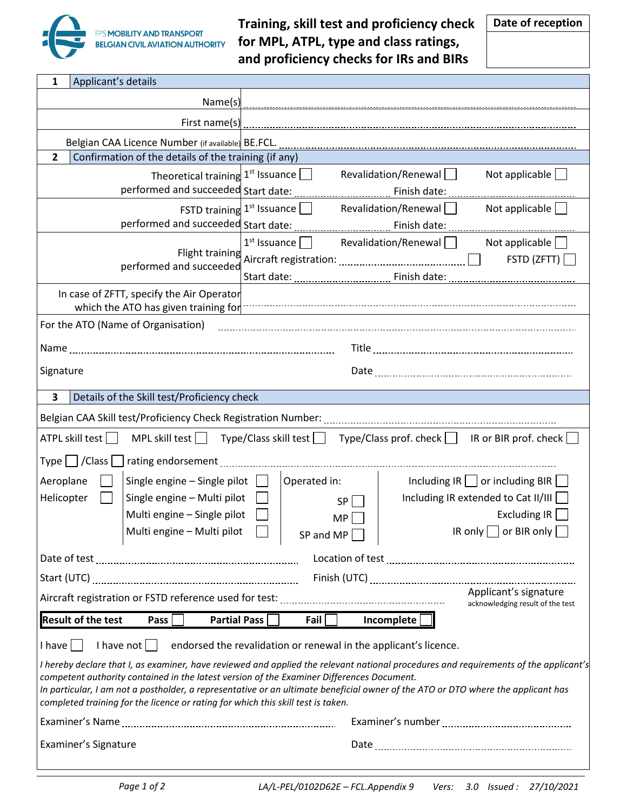

Г

**Training, skill test and proficiency check for MPL, ATPL, type and class ratings, and proficiency checks for IRs and BIRs**

| Applicant's details<br>1                                                                                                                                                                                                                                                                                                                                                                                                                                  |                                                                                                                     |  |  |  |  |
|-----------------------------------------------------------------------------------------------------------------------------------------------------------------------------------------------------------------------------------------------------------------------------------------------------------------------------------------------------------------------------------------------------------------------------------------------------------|---------------------------------------------------------------------------------------------------------------------|--|--|--|--|
| Name(s)                                                                                                                                                                                                                                                                                                                                                                                                                                                   |                                                                                                                     |  |  |  |  |
| First name(s)                                                                                                                                                                                                                                                                                                                                                                                                                                             |                                                                                                                     |  |  |  |  |
| Belgian CAA Licence Number (if available) BE.FCL.                                                                                                                                                                                                                                                                                                                                                                                                         |                                                                                                                     |  |  |  |  |
| Confirmation of the details of the training (if any)<br>$\overline{2}$                                                                                                                                                                                                                                                                                                                                                                                    |                                                                                                                     |  |  |  |  |
|                                                                                                                                                                                                                                                                                                                                                                                                                                                           | Theoretical training $1st$ Issuance $\Box$<br>Revalidation/Renewal<br>Not applicable $\Box$                         |  |  |  |  |
|                                                                                                                                                                                                                                                                                                                                                                                                                                                           | FSTD training $1^{st}$ Issuance $\Box$<br>Revalidation/Renewal<br>Not applicable $\Box$                             |  |  |  |  |
|                                                                                                                                                                                                                                                                                                                                                                                                                                                           |                                                                                                                     |  |  |  |  |
| Flight training<br>performed and succeeded                                                                                                                                                                                                                                                                                                                                                                                                                | $1^{st}$ Issuance $\Box$ Revalidation/Renewal $\Box$<br>Not applicable $\Box$<br>FSTD (ZFTT)                        |  |  |  |  |
| In case of ZFTT, specify the Air Operator                                                                                                                                                                                                                                                                                                                                                                                                                 | which the ATO has given training for <b>contained and contained and properties</b> which the ATO has given training |  |  |  |  |
| For the ATO (Name of Organisation)                                                                                                                                                                                                                                                                                                                                                                                                                        |                                                                                                                     |  |  |  |  |
|                                                                                                                                                                                                                                                                                                                                                                                                                                                           |                                                                                                                     |  |  |  |  |
| Signature                                                                                                                                                                                                                                                                                                                                                                                                                                                 |                                                                                                                     |  |  |  |  |
| $\overline{\mathbf{3}}$<br>Details of the Skill test/Proficiency check                                                                                                                                                                                                                                                                                                                                                                                    |                                                                                                                     |  |  |  |  |
|                                                                                                                                                                                                                                                                                                                                                                                                                                                           |                                                                                                                     |  |  |  |  |
| ATPL skill test                                                                                                                                                                                                                                                                                                                                                                                                                                           | MPL skill test $\Box$ Type/Class skill test $\Box$ Type/Class prof. check $\Box$ IR or BIR prof. check $\Box$       |  |  |  |  |
| Type $\Box$ / Class $\Box$                                                                                                                                                                                                                                                                                                                                                                                                                                |                                                                                                                     |  |  |  |  |
| Aeroplane<br>Single engine - Single pilot                                                                                                                                                                                                                                                                                                                                                                                                                 | Operated in:<br>Including $IR$ or including BIR                                                                     |  |  |  |  |
| Helicopter<br>Single engine - Multi pilot                                                                                                                                                                                                                                                                                                                                                                                                                 | Including IR extended to Cat II/III<br>SP                                                                           |  |  |  |  |
| Multi engine - Single pilot                                                                                                                                                                                                                                                                                                                                                                                                                               | Excluding IR<br>MP                                                                                                  |  |  |  |  |
| Multi engine – Multi pilot $\Box$                                                                                                                                                                                                                                                                                                                                                                                                                         | IR only $\Box$ or BIR only $\Box$<br>SP and MP $\square$                                                            |  |  |  |  |
|                                                                                                                                                                                                                                                                                                                                                                                                                                                           |                                                                                                                     |  |  |  |  |
|                                                                                                                                                                                                                                                                                                                                                                                                                                                           |                                                                                                                     |  |  |  |  |
| Applicant's signature<br>acknowledging result of the test                                                                                                                                                                                                                                                                                                                                                                                                 |                                                                                                                     |  |  |  |  |
| <b>Result of the test</b><br>Fail $\Box$<br>Incomplete<br><b>Partial Pass</b><br>Pass                                                                                                                                                                                                                                                                                                                                                                     |                                                                                                                     |  |  |  |  |
| endorsed the revalidation or renewal in the applicant's licence.<br>$l$ have $  \cdot  $<br>I have not $\vert \ \vert$                                                                                                                                                                                                                                                                                                                                    |                                                                                                                     |  |  |  |  |
| I hereby declare that I, as examiner, have reviewed and applied the relevant national procedures and requirements of the applicant's<br>competent authority contained in the latest version of the Examiner Differences Document.<br>In particular, I am not a postholder, a representative or an ultimate beneficial owner of the ATO or DTO where the applicant has<br>completed training for the licence or rating for which this skill test is taken. |                                                                                                                     |  |  |  |  |
|                                                                                                                                                                                                                                                                                                                                                                                                                                                           |                                                                                                                     |  |  |  |  |
| Examiner's Signature                                                                                                                                                                                                                                                                                                                                                                                                                                      |                                                                                                                     |  |  |  |  |